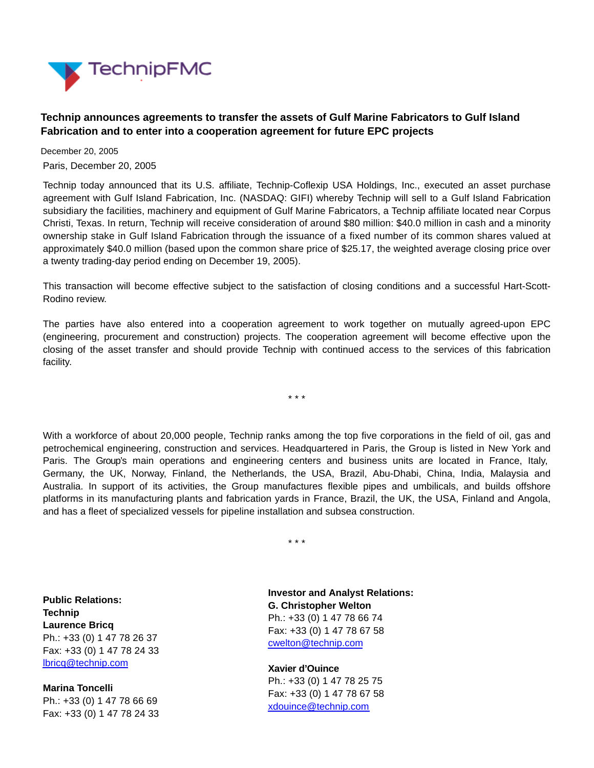

## **Technip announces agreements to transfer the assets of Gulf Marine Fabricators to Gulf Island Fabrication and to enter into a cooperation agreement for future EPC projects**

December 20, 2005 Paris, December 20, 2005

Technip today announced that its U.S. affiliate, Technip-Coflexip USA Holdings, Inc., executed an asset purchase agreement with Gulf Island Fabrication, Inc. (NASDAQ: GIFI) whereby Technip will sell to a Gulf Island Fabrication subsidiary the facilities, machinery and equipment of Gulf Marine Fabricators, a Technip affiliate located near Corpus Christi, Texas. In return, Technip will receive consideration of around \$80 million: \$40.0 million in cash and a minority ownership stake in Gulf Island Fabrication through the issuance of a fixed number of its common shares valued at approximately \$40.0 million (based upon the common share price of \$25.17, the weighted average closing price over a twenty trading-day period ending on December 19, 2005).

This transaction will become effective subject to the satisfaction of closing conditions and a successful Hart-Scott-Rodino review.

The parties have also entered into a cooperation agreement to work together on mutually agreed-upon EPC (engineering, procurement and construction) projects. The cooperation agreement will become effective upon the closing of the asset transfer and should provide Technip with continued access to the services of this fabrication facility.

\* \* \*

With a workforce of about 20,000 people, Technip ranks among the top five corporations in the field of oil, gas and petrochemical engineering, construction and services. Headquartered in Paris, the Group is listed in New York and Paris. The Group's main operations and engineering centers and business units are located in France, Italy, Germany, the UK, Norway, Finland, the Netherlands, the USA, Brazil, Abu-Dhabi, China, India, Malaysia and Australia. In support of its activities, the Group manufactures flexible pipes and umbilicals, and builds offshore platforms in its manufacturing plants and fabrication yards in France, Brazil, the UK, the USA, Finland and Angola, and has a fleet of specialized vessels for pipeline installation and subsea construction.

\* \* \*

**Public Relations: Technip Laurence Bricq** Ph.: +33 (0) 1 47 78 26 37 Fax: +33 (0) 1 47 78 24 33 [lbricq@technip.com](mailto:lbricq@technip.com)

**Marina Toncelli** Ph.: +33 (0) 1 47 78 66 69 Fax: +33 (0) 1 47 78 24 33 **Investor and Analyst Relations: G. Christopher Welton** Ph.: +33 (0) 1 47 78 66 74 Fax: +33 (0) 1 47 78 67 58 [cwelton@technip.com](mailto:daguez@technip.com)

**Xavier d'Ouince** Ph.: +33 (0) 1 47 78 25 75 Fax: +33 (0) 1 47 78 67 58 [xdouince@technip.com](mailto:xdouince@technip.com)